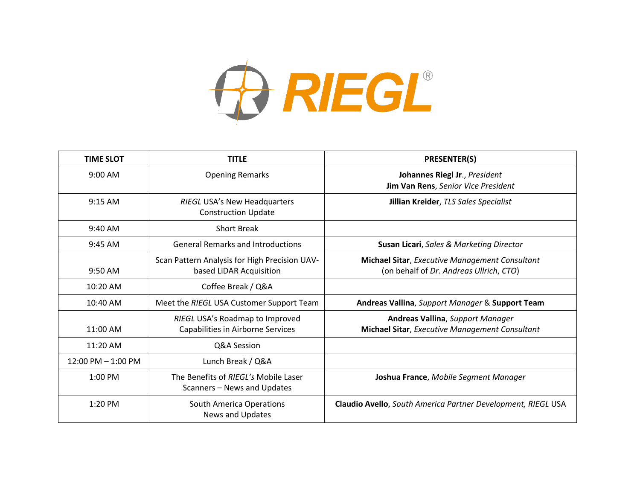

| <b>TIME SLOT</b>      | <b>TITLE</b>                                                             | <b>PRESENTER(S)</b>                                                                       |
|-----------------------|--------------------------------------------------------------------------|-------------------------------------------------------------------------------------------|
| $9:00$ AM             | <b>Opening Remarks</b>                                                   | Johannes Riegl Jr., President<br>Jim Van Rens, Senior Vice President                      |
| $9:15$ AM             | <b>RIEGL USA's New Headquarters</b><br><b>Construction Update</b>        | Jillian Kreider, TLS Sales Specialist                                                     |
| $9:40$ AM             | <b>Short Break</b>                                                       |                                                                                           |
| 9:45 AM               | <b>General Remarks and Introductions</b>                                 | Susan Licari, Sales & Marketing Director                                                  |
| 9:50 AM               | Scan Pattern Analysis for High Precision UAV-<br>based LiDAR Acquisition | Michael Sitar, Executive Management Consultant<br>(on behalf of Dr. Andreas Ullrich, CTO) |
| 10:20 AM              | Coffee Break / Q&A                                                       |                                                                                           |
| 10:40 AM              | Meet the RIEGL USA Customer Support Team                                 | Andreas Vallina, Support Manager & Support Team                                           |
| 11:00 AM              | RIEGL USA's Roadmap to Improved<br>Capabilities in Airborne Services     | <b>Andreas Vallina, Support Manager</b><br>Michael Sitar, Executive Management Consultant |
| 11:20 AM              | Q&A Session                                                              |                                                                                           |
| $12:00$ PM $-1:00$ PM | Lunch Break / Q&A                                                        |                                                                                           |
| 1:00 PM               | The Benefits of RIEGL's Mobile Laser<br>Scanners - News and Updates      | Joshua France, Mobile Segment Manager                                                     |
| $1:20$ PM             | South America Operations<br>News and Updates                             | Claudio Avello, South America Partner Development, RIEGL USA                              |